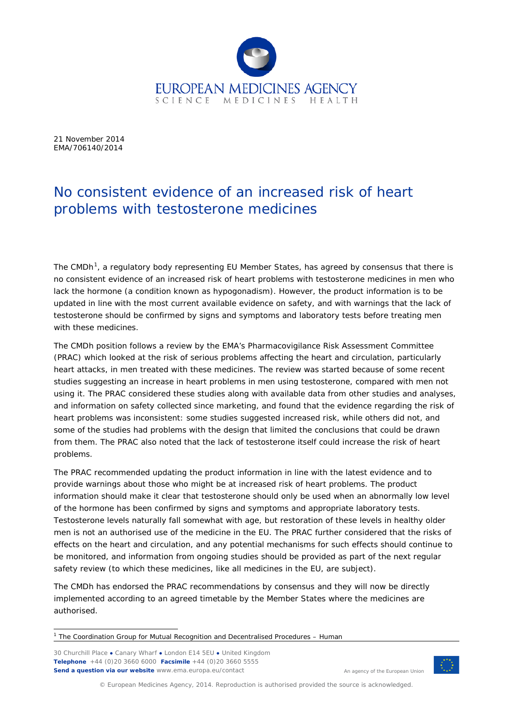

21 November 2014 EMA/706140/2014

# No consistent evidence of an increased risk of heart problems with testosterone medicines

The CMDh<sup>[1](#page-0-0)</sup>, a regulatory body representing EU Member States, has agreed by consensus that there is no consistent evidence of an increased risk of heart problems with testosterone medicines in men who lack the hormone (a condition known as hypogonadism). However, the product information is to be updated in line with the most current available evidence on safety, and with warnings that the lack of testosterone should be confirmed by signs and symptoms and laboratory tests before treating men with these medicines.

The CMDh position follows a review by the EMA's Pharmacovigilance Risk Assessment Committee (PRAC) which looked at the risk of serious problems affecting the heart and circulation, particularly heart attacks, in men treated with these medicines. The review was started because of some recent studies suggesting an increase in heart problems in men using testosterone, compared with men not using it. The PRAC considered these studies along with available data from other studies and analyses, and information on safety collected since marketing, and found that the evidence regarding the risk of heart problems was inconsistent: some studies suggested increased risk, while others did not, and some of the studies had problems with the design that limited the conclusions that could be drawn from them. The PRAC also noted that the lack of testosterone itself could increase the risk of heart problems.

The PRAC recommended updating the product information in line with the latest evidence and to provide warnings about those who might be at increased risk of heart problems. The product information should make it clear that testosterone should only be used when an abnormally low level of the hormone has been confirmed by signs and symptoms and appropriate laboratory tests. Testosterone levels naturally fall somewhat with age, but restoration of these levels in healthy older men is not an authorised use of the medicine in the EU. The PRAC further considered that the risks of effects on the heart and circulation, and any potential mechanisms for such effects should continue to be monitored, and information from ongoing studies should be provided as part of the next regular safety review (to which these medicines, like all medicines in the EU, are subject).

The CMDh has endorsed the PRAC recommendations by consensus and they will now be directly implemented according to an agreed timetable by the Member States where the medicines are authorised.

30 Churchill Place **●** Canary Wharf **●** London E14 5EU **●** United Kingdom **Telephone** +44 (0)20 3660 6000 **Facsimile** +44 (0)20 3660 5555 **Send a question via our website** www.ema.europa.eu/contact



An agency of the European Union

© European Medicines Agency, 2014. Reproduction is authorised provided the source is acknowledged.

<span id="page-0-0"></span> $1$  The Coordination Group for Mutual Recognition and Decentralised Procedures – Human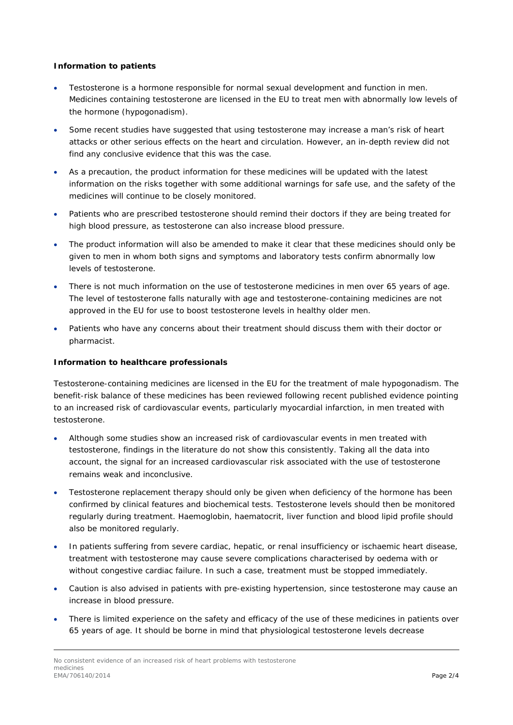## **Information to patients**

- Testosterone is a hormone responsible for normal sexual development and function in men. Medicines containing testosterone are licensed in the EU to treat men with abnormally low levels of the hormone (hypogonadism).
- Some recent studies have suggested that using testosterone may increase a man's risk of heart attacks or other serious effects on the heart and circulation. However, an in-depth review did not find any conclusive evidence that this was the case.
- As a precaution, the product information for these medicines will be updated with the latest information on the risks together with some additional warnings for safe use, and the safety of the medicines will continue to be closely monitored.
- Patients who are prescribed testosterone should remind their doctors if they are being treated for high blood pressure, as testosterone can also increase blood pressure.
- The product information will also be amended to make it clear that these medicines should only be given to men in whom both signs and symptoms and laboratory tests confirm abnormally low levels of testosterone.
- There is not much information on the use of testosterone medicines in men over 65 years of age. The level of testosterone falls naturally with age and testosterone-containing medicines are not approved in the EU for use to boost testosterone levels in healthy older men.
- Patients who have any concerns about their treatment should discuss them with their doctor or pharmacist.

## **Information to healthcare professionals**

Testosterone-containing medicines are licensed in the EU for the treatment of male hypogonadism. The benefit-risk balance of these medicines has been reviewed following recent published evidence pointing to an increased risk of cardiovascular events, particularly myocardial infarction, in men treated with testosterone.

- Although some studies show an increased risk of cardiovascular events in men treated with testosterone, findings in the literature do not show this consistently. Taking all the data into account, the signal for an increased cardiovascular risk associated with the use of testosterone remains weak and inconclusive.
- Testosterone replacement therapy should only be given when deficiency of the hormone has been confirmed by clinical features and biochemical tests. Testosterone levels should then be monitored regularly during treatment. Haemoglobin, haematocrit, liver function and blood lipid profile should also be monitored regularly.
- In patients suffering from severe cardiac, hepatic, or renal insufficiency or ischaemic heart disease, treatment with testosterone may cause severe complications characterised by oedema with or without congestive cardiac failure. In such a case, treatment must be stopped immediately.
- Caution is also advised in patients with pre-existing hypertension, since testosterone may cause an increase in blood pressure.
- There is limited experience on the safety and efficacy of the use of these medicines in patients over 65 years of age. It should be borne in mind that physiological testosterone levels decrease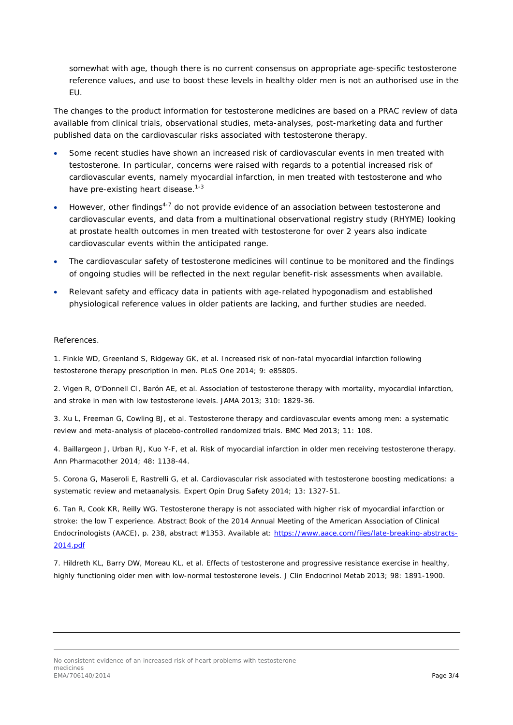somewhat with age, though there is no current consensus on appropriate age-specific testosterone reference values, and use to boost these levels in healthy older men is not an authorised use in the EU.

The changes to the product information for testosterone medicines are based on a PRAC review of data available from clinical trials, observational studies, meta-analyses, post-marketing data and further published data on the cardiovascular risks associated with testosterone therapy.

- Some recent studies have shown an increased risk of cardiovascular events in men treated with testosterone. In particular, concerns were raised with regards to a potential increased risk of cardiovascular events, namely myocardial infarction, in men treated with testosterone and who have pre-existing heart disease.<sup>1-3</sup>
- However, other findings4-7 do not provide evidence of an association between testosterone and cardiovascular events, and data from a multinational observational registry study (RHYME) looking at prostate health outcomes in men treated with testosterone for over 2 years also indicate cardiovascular events within the anticipated range.
- The cardiovascular safety of testosterone medicines will continue to be monitored and the findings of ongoing studies will be reflected in the next regular benefit-risk assessments when available.
- Relevant safety and efficacy data in patients with age-related hypogonadism and established physiological reference values in older patients are lacking, and further studies are needed.

#### References.

1. Finkle WD, Greenland S, Ridgeway GK, *et al*. Increased risk of non-fatal myocardial infarction following testosterone therapy prescription in men. *PLoS One* 2014; 9: e85805.

2. Vigen R, O'Donnell CI, Barón AE, *et al*. Association of testosterone therapy with mortality, myocardial infarction, and stroke in men with low testosterone levels. *JAMA* 2013; 310: 1829-36.

3. Xu L, Freeman G, Cowling BJ, *et al*. Testosterone therapy and cardiovascular events among men: a systematic review and meta-analysis of placebo-controlled randomized trials. *BMC Med* 2013; 11: 108.

4. Baillargeon J, Urban RJ, Kuo Y-F, *et al*. Risk of myocardial infarction in older men receiving testosterone therapy. *Ann Pharmacother* 2014; 48: 1138-44.

5. Corona G, Maseroli E, Rastrelli G, *et al*. Cardiovascular risk associated with testosterone boosting medications: a systematic review and metaanalysis. *Expert Opin Drug Safety* 2014; 13: 1327-51.

6. Tan R, Cook KR, Reilly WG. Testosterone therapy is not associated with higher risk of myocardial infarction or stroke: the low T experience. Abstract Book of the 2014 Annual Meeting of the American Association of Clinical Endocrinologists (AACE), p. 238, abstract #1353. Available at: [https://www.aace.com/files/late-breaking-abstracts-](https://www.aace.com/files/late-breaking-abstracts-2014.pdf)[2014.pdf](https://www.aace.com/files/late-breaking-abstracts-2014.pdf)

7. Hildreth KL, Barry DW, Moreau KL, *et al*. Effects of testosterone and progressive resistance exercise in healthy, highly functioning older men with low-normal testosterone levels. *J Clin Endocrinol Metab* 2013; 98: 1891-1900.